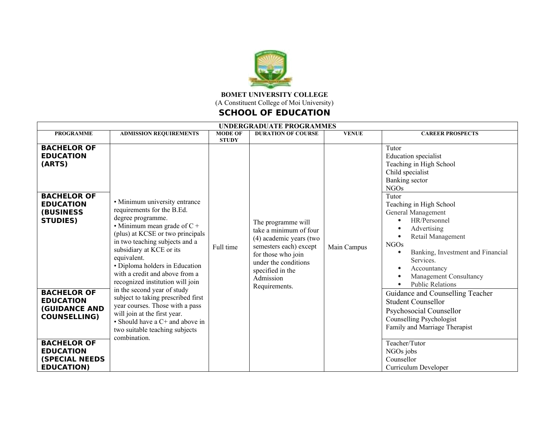

## **BOMET UNIVERSITY COLLEGE**  (A Constituent College of Moi University)

## **SCHOOL OF EDUCATION**

| <b>UNDERGRADUATE PROGRAMMES</b>                                                                                                                                               |                                                                                                                                                                                                                                                                                                                                                                                                                                                                                                                                                                            |                           |                                                                                                                                                                                                   |                             |                                                                                                                                                                                                                                                                                                                                                                                                                                                                                                                                                                                                                                                                                |  |
|-------------------------------------------------------------------------------------------------------------------------------------------------------------------------------|----------------------------------------------------------------------------------------------------------------------------------------------------------------------------------------------------------------------------------------------------------------------------------------------------------------------------------------------------------------------------------------------------------------------------------------------------------------------------------------------------------------------------------------------------------------------------|---------------------------|---------------------------------------------------------------------------------------------------------------------------------------------------------------------------------------------------|-----------------------------|--------------------------------------------------------------------------------------------------------------------------------------------------------------------------------------------------------------------------------------------------------------------------------------------------------------------------------------------------------------------------------------------------------------------------------------------------------------------------------------------------------------------------------------------------------------------------------------------------------------------------------------------------------------------------------|--|
| <b>PROGRAMME</b>                                                                                                                                                              | <b>ADMISSION REQUIREMENTS</b>                                                                                                                                                                                                                                                                                                                                                                                                                                                                                                                                              | <b>MODE OF</b>            | <b>DURATION OF COURSE</b>                                                                                                                                                                         |                             | <b>CAREER PROSPECTS</b>                                                                                                                                                                                                                                                                                                                                                                                                                                                                                                                                                                                                                                                        |  |
| <b>BACHELOR OF</b><br><b>EDUCATION</b><br>(ARTS)<br><b>BACHELOR OF</b><br><b>EDUCATION</b><br><b>(BUSINESS)</b><br><b>STUDIES)</b>                                            | • Minimum university entrance<br>requirements for the B.Ed.<br>degree programme.<br>• Minimum mean grade of $C +$<br>(plus) at KCSE or two principals<br>in two teaching subjects and a<br>subsidiary at KCE or its<br>equivalent.<br>• Diploma holders in Education<br>with a credit and above from a<br>recognized institution will join<br>in the second year of study<br>subject to taking prescribed first<br>year courses. Those with a pass<br>will join at the first year.<br>• Should have a $C$ + and above in<br>two suitable teaching subjects<br>combination. | <b>STUDY</b><br>Full time | The programme will<br>take a minimum of four<br>(4) academic years (two<br>semesters each) except<br>for those who join<br>under the conditions<br>specified in the<br>Admission<br>Requirements. | <b>VENUE</b><br>Main Campus | Tutor<br><b>Education</b> specialist<br>Teaching in High School<br>Child specialist<br><b>Banking</b> sector<br><b>NGOs</b><br>Tutor<br>Teaching in High School<br>General Management<br>HR/Personnel<br>$\bullet$<br>Advertising<br>$\bullet$<br>Retail Management<br>$\bullet$<br><b>NGOs</b><br>Banking, Investment and Financial<br>$\bullet$<br>Services.<br>Accountancy<br>$\bullet$<br>Management Consultancy<br>$\bullet$<br><b>Public Relations</b><br>$\bullet$<br>Guidance and Counselling Teacher<br><b>Student Counsellor</b><br>Psychosocial Counsellor<br>Counselling Psychologist<br>Family and Marriage Therapist<br>Teacher/Tutor<br>NGOs jobs<br>Counsellor |  |
| <b>BACHELOR OF</b><br><b>EDUCATION</b><br><b>(GUIDANCE AND</b><br><b>COUNSELLING)</b><br><b>BACHELOR OF</b><br><b>EDUCATION</b><br><b>(SPECIAL NEEDS</b><br><b>EDUCATION)</b> |                                                                                                                                                                                                                                                                                                                                                                                                                                                                                                                                                                            |                           |                                                                                                                                                                                                   |                             |                                                                                                                                                                                                                                                                                                                                                                                                                                                                                                                                                                                                                                                                                |  |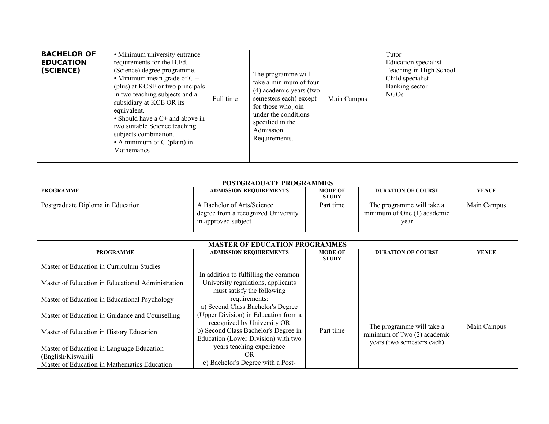| <b>BACHELOR OF</b><br><b>EDUCATION</b><br>(SCIENCE) | • Minimum university entrance<br>requirements for the B.Ed.<br>(Science) degree programme.<br>• Minimum mean grade of $C +$<br>(plus) at KCSE or two principals<br>in two teaching subjects and a<br>subsidiary at KCE OR its<br>equivalent.<br>• Should have a $C$ + and above in<br>two suitable Science teaching<br>subjects combination.<br>• A minimum of $C$ (plain) in<br>Mathematics | Full time | The programme will<br>take a minimum of four<br>(4) academic years (two<br>semesters each) except<br>for those who join<br>under the conditions<br>specified in the<br>Admission<br>Requirements. | Main Campus | Tutor<br><b>Education</b> specialist<br>Teaching in High School<br>Child specialist<br>Banking sector<br>NGO <sub>s</sub> |
|-----------------------------------------------------|----------------------------------------------------------------------------------------------------------------------------------------------------------------------------------------------------------------------------------------------------------------------------------------------------------------------------------------------------------------------------------------------|-----------|---------------------------------------------------------------------------------------------------------------------------------------------------------------------------------------------------|-------------|---------------------------------------------------------------------------------------------------------------------------|
|-----------------------------------------------------|----------------------------------------------------------------------------------------------------------------------------------------------------------------------------------------------------------------------------------------------------------------------------------------------------------------------------------------------------------------------------------------------|-----------|---------------------------------------------------------------------------------------------------------------------------------------------------------------------------------------------------|-------------|---------------------------------------------------------------------------------------------------------------------------|

| <b>POSTGRADUATE PROGRAMMES</b>                    |                                                                                          |                                |                                                                  |              |  |  |  |
|---------------------------------------------------|------------------------------------------------------------------------------------------|--------------------------------|------------------------------------------------------------------|--------------|--|--|--|
| <b>PROGRAMME</b>                                  | <b>ADMISSION REQUIREMENTS</b>                                                            | <b>MODE OF</b><br><b>STUDY</b> | <b>DURATION OF COURSE</b>                                        | <b>VENUE</b> |  |  |  |
| Postgraduate Diploma in Education                 | A Bachelor of Arts/Science<br>degree from a recognized University<br>in approved subject | Part time                      | The programme will take a<br>minimum of One (1) academic<br>year | Main Campus  |  |  |  |
| <b>MASTER OF EDUCATION PROGRAMMES</b>             |                                                                                          |                                |                                                                  |              |  |  |  |
| <b>PROGRAMME</b>                                  | <b>ADMISSION REQUIREMENTS</b>                                                            | <b>MODE OF</b><br><b>STUDY</b> | <b>DURATION OF COURSE</b>                                        | <b>VENUE</b> |  |  |  |
| Master of Education in Curriculum Studies         |                                                                                          |                                |                                                                  |              |  |  |  |
|                                                   | In addition to fulfilling the common                                                     |                                |                                                                  |              |  |  |  |
| Master of Education in Educational Administration | University regulations, applicants<br>must satisfy the following                         |                                |                                                                  |              |  |  |  |
| Master of Education in Educational Psychology     | requirements:                                                                            |                                |                                                                  |              |  |  |  |
|                                                   | a) Second Class Bachelor's Degree                                                        |                                |                                                                  |              |  |  |  |
| Master of Education in Guidance and Counselling   | (Upper Division) in Education from a                                                     |                                |                                                                  |              |  |  |  |
|                                                   | recognized by University OR                                                              | Part time                      | The programme will take a                                        | Main Campus  |  |  |  |
| Master of Education in History Education          | b) Second Class Bachelor's Degree in<br>Education (Lower Division) with two              |                                | minimum of Two $(2)$ academic                                    |              |  |  |  |
|                                                   | years teaching experience                                                                |                                | years (two semesters each)                                       |              |  |  |  |
| Master of Education in Language Education         | OR                                                                                       |                                |                                                                  |              |  |  |  |
| (English/Kiswahili                                |                                                                                          |                                |                                                                  |              |  |  |  |
| Master of Education in Mathematics Education      | c) Bachelor's Degree with a Post-                                                        |                                |                                                                  |              |  |  |  |